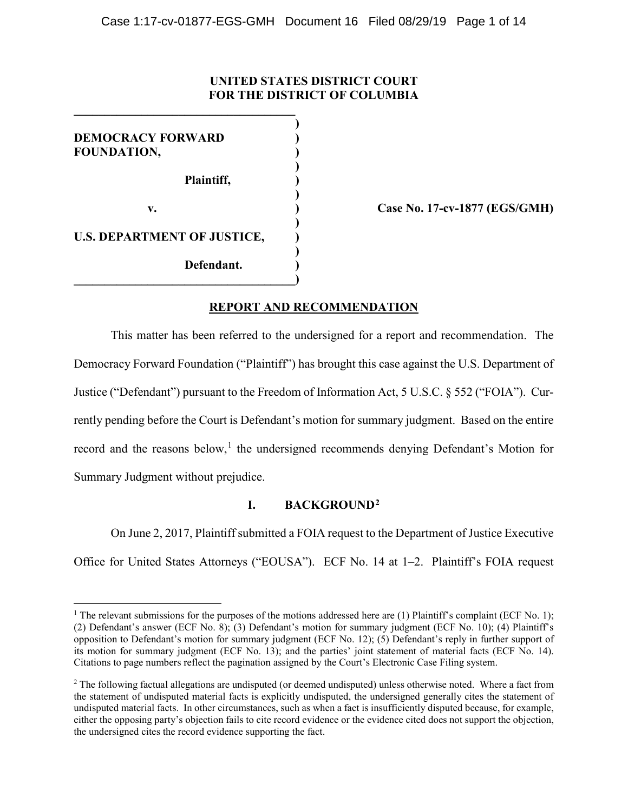# **UNITED STATES DISTRICT COURT FOR THE DISTRICT OF COLUMBIA**

**)**

**)**

**)**

**)**

**)**

**DEMOCRACY FORWARD ) FOUNDATION, )**

**Plaintiff, )**

**Defendant. )**

**\_\_\_\_\_\_\_\_\_\_\_\_\_\_\_\_\_\_\_\_\_\_\_\_\_\_\_\_\_\_\_\_\_\_\_\_**

**U.S. DEPARTMENT OF JUSTICE, )**

**\_\_\_\_\_\_\_\_\_\_\_\_\_\_\_\_\_\_\_\_\_\_\_\_\_\_\_\_\_\_\_\_\_\_\_\_)**

**v. ) Case No. 17-cv-1877 (EGS/GMH)**

# **REPORT AND RECOMMENDATION**

This matter has been referred to the undersigned for a report and recommendation. The Democracy Forward Foundation ("Plaintiff") has brought this case against the U.S. Department of Justice ("Defendant") pursuant to the Freedom of Information Act, 5 U.S.C. § 552 ("FOIA"). Currently pending before the Court is Defendant's motion for summary judgment. Based on the entire record and the reasons below,<sup>[1](#page-0-0)</sup> the undersigned recommends denying Defendant's Motion for Summary Judgment without prejudice.

# **I. BACKGROUND[2](#page-0-1)**

On June 2, 2017, Plaintiff submitted a FOIA request to the Department of Justice Executive Office for United States Attorneys ("EOUSA"). ECF No. 14 at 1–2. Plaintiff's FOIA request

<span id="page-0-0"></span><sup>&</sup>lt;sup>1</sup> The relevant submissions for the purposes of the motions addressed here are (1) Plaintiff's complaint (ECF No. 1); (2) Defendant's answer (ECF No. 8); (3) Defendant's motion for summary judgment (ECF No. 10); (4) Plaintiff's opposition to Defendant's motion for summary judgment (ECF No. 12); (5) Defendant's reply in further support of its motion for summary judgment (ECF No. 13); and the parties' joint statement of material facts (ECF No. 14). Citations to page numbers reflect the pagination assigned by the Court's Electronic Case Filing system.

<span id="page-0-1"></span><sup>&</sup>lt;sup>2</sup> The following factual allegations are undisputed (or deemed undisputed) unless otherwise noted. Where a fact from the statement of undisputed material facts is explicitly undisputed, the undersigned generally cites the statement of undisputed material facts. In other circumstances, such as when a fact is insufficiently disputed because, for example, either the opposing party's objection fails to cite record evidence or the evidence cited does not support the objection, the undersigned cites the record evidence supporting the fact.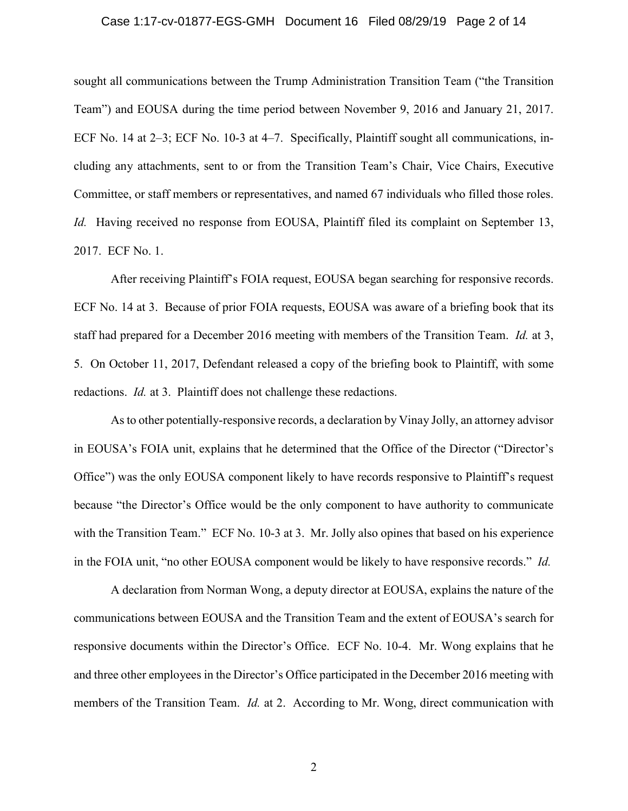## Case 1:17-cv-01877-EGS-GMH Document 16 Filed 08/29/19 Page 2 of 14

sought all communications between the Trump Administration Transition Team ("the Transition Team") and EOUSA during the time period between November 9, 2016 and January 21, 2017. ECF No. 14 at 2–3; ECF No. 10-3 at 4–7. Specifically, Plaintiff sought all communications, including any attachments, sent to or from the Transition Team's Chair, Vice Chairs, Executive Committee, or staff members or representatives, and named 67 individuals who filled those roles. *Id.* Having received no response from EOUSA, Plaintiff filed its complaint on September 13, 2017. ECF No. 1.

After receiving Plaintiff's FOIA request, EOUSA began searching for responsive records. ECF No. 14 at 3. Because of prior FOIA requests, EOUSA was aware of a briefing book that its staff had prepared for a December 2016 meeting with members of the Transition Team. *Id.* at 3, 5. On October 11, 2017, Defendant released a copy of the briefing book to Plaintiff, with some redactions. *Id.* at 3. Plaintiff does not challenge these redactions.

As to other potentially-responsive records, a declaration by Vinay Jolly, an attorney advisor in EOUSA's FOIA unit, explains that he determined that the Office of the Director ("Director's Office") was the only EOUSA component likely to have records responsive to Plaintiff's request because "the Director's Office would be the only component to have authority to communicate with the Transition Team." ECF No. 10-3 at 3. Mr. Jolly also opines that based on his experience in the FOIA unit, "no other EOUSA component would be likely to have responsive records." *Id.*

A declaration from Norman Wong, a deputy director at EOUSA, explains the nature of the communications between EOUSA and the Transition Team and the extent of EOUSA's search for responsive documents within the Director's Office. ECF No. 10-4. Mr. Wong explains that he and three other employees in the Director's Office participated in the December 2016 meeting with members of the Transition Team. *Id.* at 2. According to Mr. Wong, direct communication with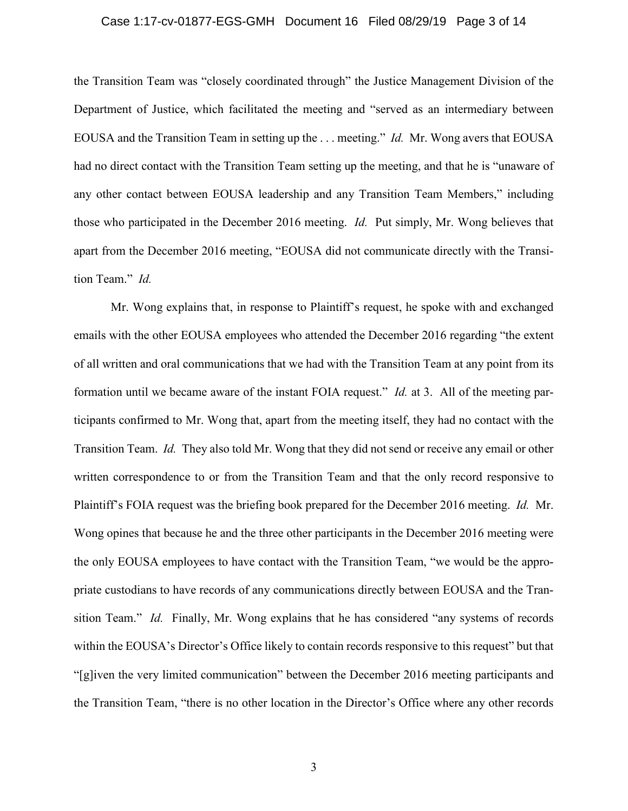## Case 1:17-cv-01877-EGS-GMH Document 16 Filed 08/29/19 Page 3 of 14

the Transition Team was "closely coordinated through" the Justice Management Division of the Department of Justice, which facilitated the meeting and "served as an intermediary between EOUSA and the Transition Team in setting up the . . . meeting." *Id.* Mr. Wong avers that EOUSA had no direct contact with the Transition Team setting up the meeting, and that he is "unaware of any other contact between EOUSA leadership and any Transition Team Members," including those who participated in the December 2016 meeting. *Id.* Put simply, Mr. Wong believes that apart from the December 2016 meeting, "EOUSA did not communicate directly with the Transition Team." *Id.*

Mr. Wong explains that, in response to Plaintiff's request, he spoke with and exchanged emails with the other EOUSA employees who attended the December 2016 regarding "the extent of all written and oral communications that we had with the Transition Team at any point from its formation until we became aware of the instant FOIA request." *Id.* at 3. All of the meeting participants confirmed to Mr. Wong that, apart from the meeting itself, they had no contact with the Transition Team. *Id.* They also told Mr. Wong that they did not send or receive any email or other written correspondence to or from the Transition Team and that the only record responsive to Plaintiff's FOIA request was the briefing book prepared for the December 2016 meeting. *Id.* Mr. Wong opines that because he and the three other participants in the December 2016 meeting were the only EOUSA employees to have contact with the Transition Team, "we would be the appropriate custodians to have records of any communications directly between EOUSA and the Transition Team." *Id.* Finally, Mr. Wong explains that he has considered "any systems of records within the EOUSA's Director's Office likely to contain records responsive to this request" but that "[g]iven the very limited communication" between the December 2016 meeting participants and the Transition Team, "there is no other location in the Director's Office where any other records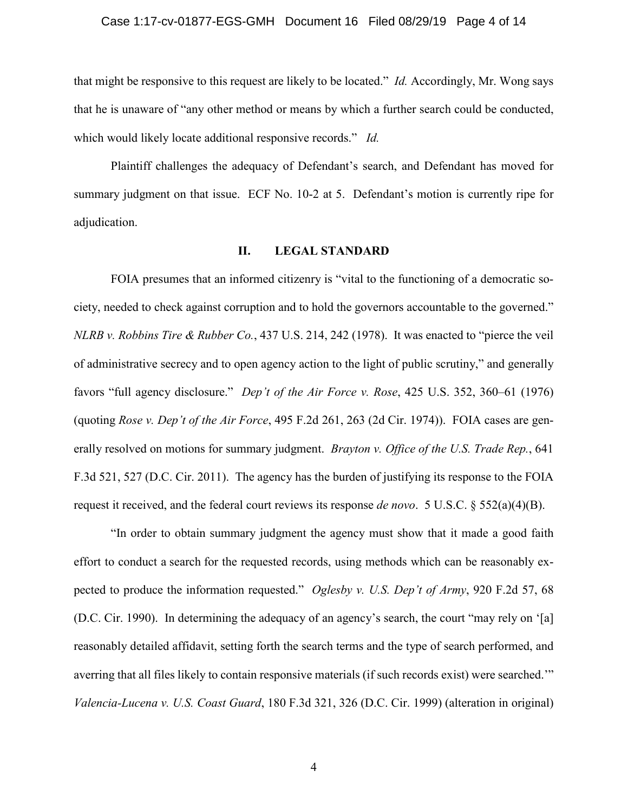#### Case 1:17-cv-01877-EGS-GMH Document 16 Filed 08/29/19 Page 4 of 14

that might be responsive to this request are likely to be located." *Id.* Accordingly, Mr. Wong says that he is unaware of "any other method or means by which a further search could be conducted, which would likely locate additional responsive records." *Id.*

Plaintiff challenges the adequacy of Defendant's search, and Defendant has moved for summary judgment on that issue. ECF No. 10-2 at 5. Defendant's motion is currently ripe for adjudication.

#### **II. LEGAL STANDARD**

FOIA presumes that an informed citizenry is "vital to the functioning of a democratic society, needed to check against corruption and to hold the governors accountable to the governed." *NLRB v. Robbins Tire & Rubber Co.*, 437 U.S. 214, 242 (1978). It was enacted to "pierce the veil of administrative secrecy and to open agency action to the light of public scrutiny," and generally favors "full agency disclosure." *Dep't of the Air Force v. Rose*, 425 U.S. 352, 360–61 (1976) (quoting *Rose v. Dep't of the Air Force*, 495 F.2d 261, 263 (2d Cir. 1974)). FOIA cases are generally resolved on motions for summary judgment. *Brayton v. Office of the U.S. Trade Rep.*, 641 F.3d 521, 527 (D.C. Cir. 2011). The agency has the burden of justifying its response to the FOIA request it received, and the federal court reviews its response *de novo*. 5 U.S.C. § 552(a)(4)(B).

"In order to obtain summary judgment the agency must show that it made a good faith effort to conduct a search for the requested records, using methods which can be reasonably expected to produce the information requested." *Oglesby v. U.S. Dep't of Army*, 920 F.2d 57, 68 (D.C. Cir. 1990). In determining the adequacy of an agency's search, the court "may rely on '[a] reasonably detailed affidavit, setting forth the search terms and the type of search performed, and averring that all files likely to contain responsive materials (if such records exist) were searched.'" *Valencia-Lucena v. U.S. Coast Guard*, 180 F.3d 321, 326 (D.C. Cir. 1999) (alteration in original)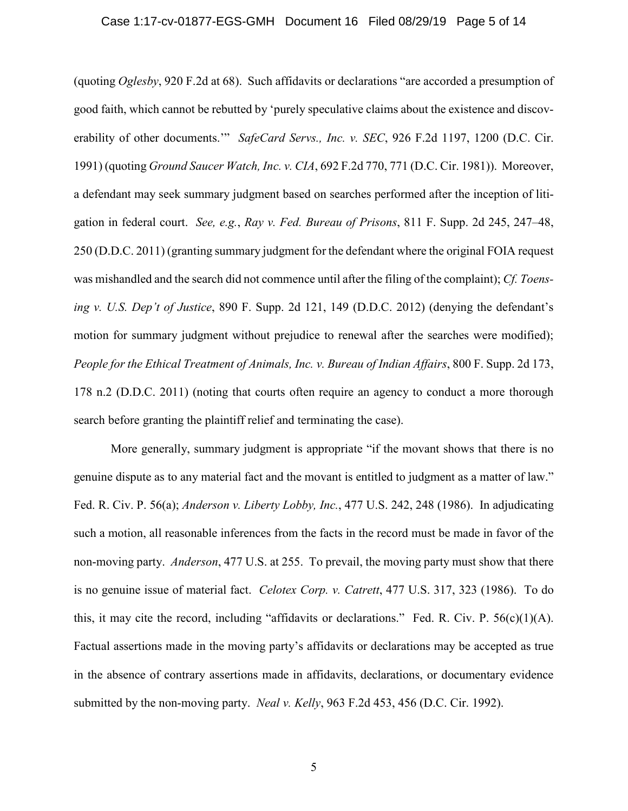## Case 1:17-cv-01877-EGS-GMH Document 16 Filed 08/29/19 Page 5 of 14

(quoting *Oglesby*, 920 F.2d at 68). Such affidavits or declarations "are accorded a presumption of good faith, which cannot be rebutted by 'purely speculative claims about the existence and discoverability of other documents.'" *SafeCard Servs., Inc. v. SEC*, 926 F.2d 1197, 1200 (D.C. Cir. 1991) (quoting *Ground Saucer Watch, Inc. v. CIA*, 692 F.2d 770, 771 (D.C. Cir. 1981)). Moreover, a defendant may seek summary judgment based on searches performed after the inception of litigation in federal court. *See, e.g.*, *Ray v. Fed. Bureau of Prisons*, 811 F. Supp. 2d 245, 247–48, 250 (D.D.C. 2011) (granting summary judgment for the defendant where the original FOIA request was mishandled and the search did not commence until after the filing of the complaint); *Cf. Toensing v. U.S. Dep't of Justice*, 890 F. Supp. 2d 121, 149 (D.D.C. 2012) (denying the defendant's motion for summary judgment without prejudice to renewal after the searches were modified); *People for the Ethical Treatment of Animals, Inc. v. Bureau of Indian Affairs*, 800 F. Supp. 2d 173, 178 n.2 (D.D.C. 2011) (noting that courts often require an agency to conduct a more thorough search before granting the plaintiff relief and terminating the case).

More generally, summary judgment is appropriate "if the movant shows that there is no genuine dispute as to any material fact and the movant is entitled to judgment as a matter of law." Fed. R. Civ. P. 56(a); *Anderson v. Liberty Lobby, Inc.*, 477 U.S. 242, 248 (1986). In adjudicating such a motion, all reasonable inferences from the facts in the record must be made in favor of the non-moving party. *Anderson*, 477 U.S. at 255. To prevail, the moving party must show that there is no genuine issue of material fact. *Celotex Corp. v. Catrett*, 477 U.S. 317, 323 (1986). To do this, it may cite the record, including "affidavits or declarations." Fed. R. Civ. P.  $56(c)(1)(A)$ . Factual assertions made in the moving party's affidavits or declarations may be accepted as true in the absence of contrary assertions made in affidavits, declarations, or documentary evidence submitted by the non-moving party. *Neal v. Kelly*, 963 F.2d 453, 456 (D.C. Cir. 1992).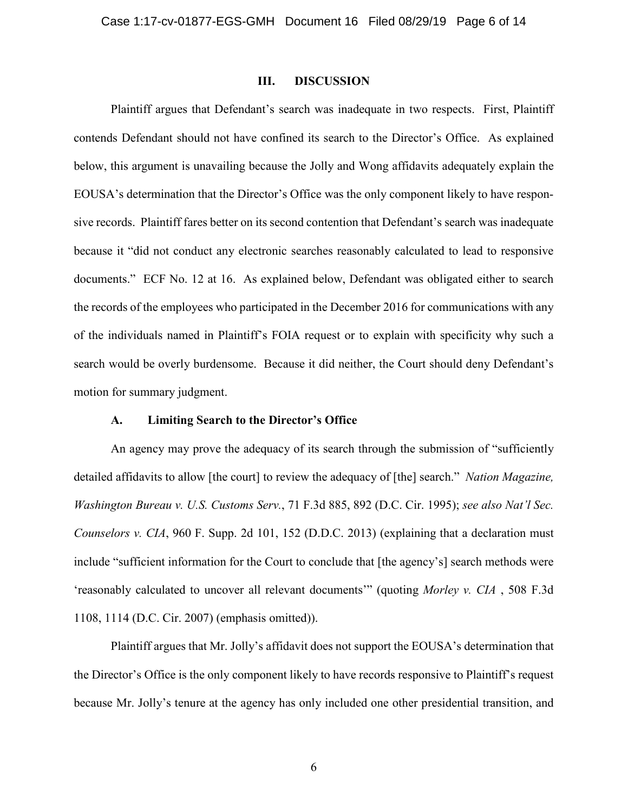#### **III. DISCUSSION**

Plaintiff argues that Defendant's search was inadequate in two respects. First, Plaintiff contends Defendant should not have confined its search to the Director's Office. As explained below, this argument is unavailing because the Jolly and Wong affidavits adequately explain the EOUSA's determination that the Director's Office was the only component likely to have responsive records. Plaintiff fares better on its second contention that Defendant's search was inadequate because it "did not conduct any electronic searches reasonably calculated to lead to responsive documents." ECF No. 12 at 16. As explained below, Defendant was obligated either to search the records of the employees who participated in the December 2016 for communications with any of the individuals named in Plaintiff's FOIA request or to explain with specificity why such a search would be overly burdensome. Because it did neither, the Court should deny Defendant's motion for summary judgment.

#### **A. Limiting Search to the Director's Office**

An agency may prove the adequacy of its search through the submission of "sufficiently detailed affidavits to allow [the court] to review the adequacy of [the] search." *Nation Magazine, Washington Bureau v. U.S. Customs Serv.*, 71 F.3d 885, 892 (D.C. Cir. 1995); *see also Nat'l Sec. Counselors v. CIA*, 960 F. Supp. 2d 101, 152 (D.D.C. 2013) (explaining that a declaration must include "sufficient information for the Court to conclude that [the agency's] search methods were 'reasonably calculated to uncover all relevant documents'" (quoting *Morley v. CIA* , 508 F.3d 1108, 1114 (D.C. Cir. 2007) (emphasis omitted)).

Plaintiff argues that Mr. Jolly's affidavit does not support the EOUSA's determination that the Director's Office is the only component likely to have records responsive to Plaintiff's request because Mr. Jolly's tenure at the agency has only included one other presidential transition, and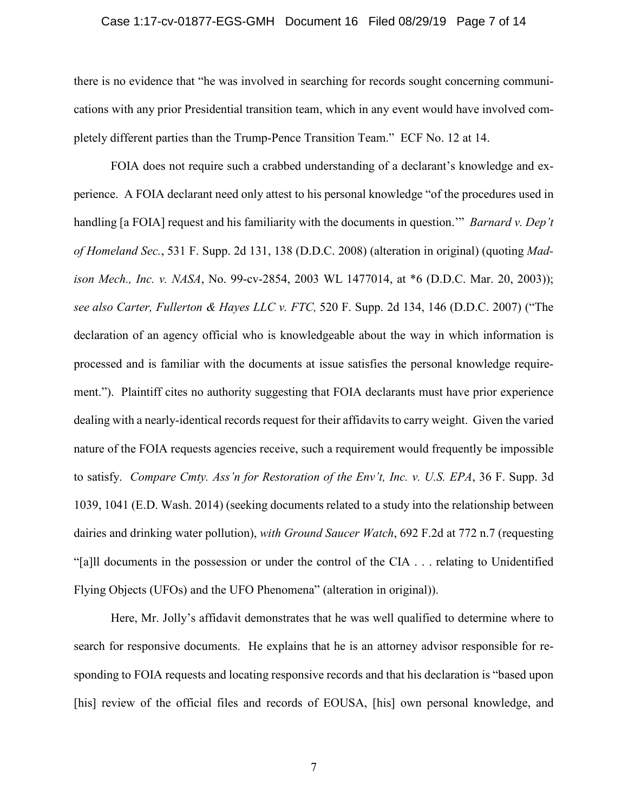## Case 1:17-cv-01877-EGS-GMH Document 16 Filed 08/29/19 Page 7 of 14

there is no evidence that "he was involved in searching for records sought concerning communications with any prior Presidential transition team, which in any event would have involved completely different parties than the Trump-Pence Transition Team." ECF No. 12 at 14.

FOIA does not require such a crabbed understanding of a declarant's knowledge and experience. A FOIA declarant need only attest to his personal knowledge "of the procedures used in handling [a FOIA] request and his familiarity with the documents in question.'" *Barnard v. Dep't of Homeland Sec.*, 531 F. Supp. 2d 131, 138 (D.D.C. 2008) (alteration in original) (quoting *Madison Mech., Inc. v. NASA*, No. 99-cv-2854, 2003 WL 1477014, at \*6 (D.D.C. Mar. 20, 2003)); *see also Carter, Fullerton & Hayes LLC v. FTC,* 520 F. Supp. 2d 134, 146 (D.D.C. 2007) ("The declaration of an agency official who is knowledgeable about the way in which information is processed and is familiar with the documents at issue satisfies the personal knowledge requirement."). Plaintiff cites no authority suggesting that FOIA declarants must have prior experience dealing with a nearly-identical records request for their affidavits to carry weight. Given the varied nature of the FOIA requests agencies receive, such a requirement would frequently be impossible to satisfy. *Compare Cmty. Ass'n for Restoration of the Env't, Inc. v. U.S. EPA*, 36 F. Supp. 3d 1039, 1041 (E.D. Wash. 2014) (seeking documents related to a study into the relationship between dairies and drinking water pollution), *with Ground Saucer Watch*, 692 F.2d at 772 n.7 (requesting "[a]ll documents in the possession or under the control of the CIA . . . relating to Unidentified Flying Objects (UFOs) and the UFO Phenomena" (alteration in original)).

Here, Mr. Jolly's affidavit demonstrates that he was well qualified to determine where to search for responsive documents. He explains that he is an attorney advisor responsible for responding to FOIA requests and locating responsive records and that his declaration is "based upon [his] review of the official files and records of EOUSA, [his] own personal knowledge, and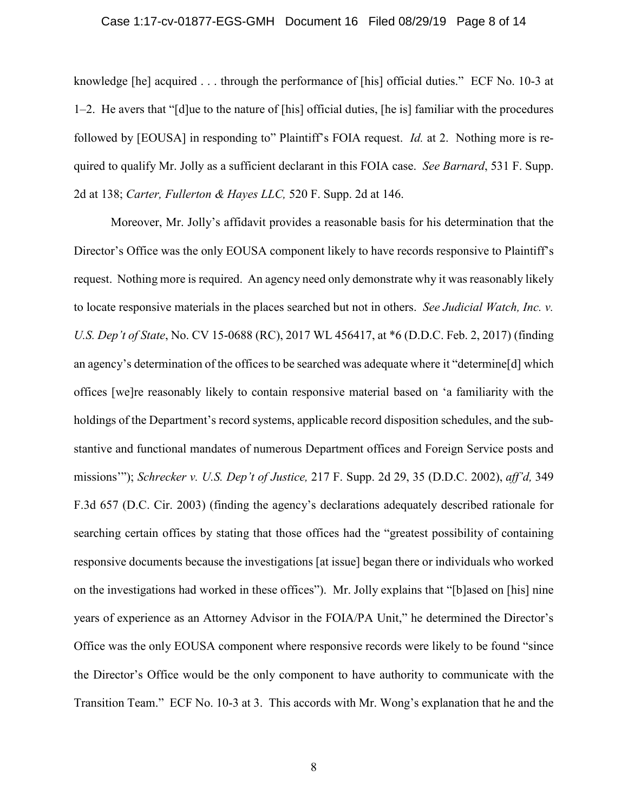#### Case 1:17-cv-01877-EGS-GMH Document 16 Filed 08/29/19 Page 8 of 14

knowledge [he] acquired . . . through the performance of [his] official duties." ECF No. 10-3 at 1–2. He avers that "[d]ue to the nature of [his] official duties, [he is] familiar with the procedures followed by [EOUSA] in responding to" Plaintiff's FOIA request. *Id.* at 2. Nothing more is required to qualify Mr. Jolly as a sufficient declarant in this FOIA case. *See Barnard*, 531 F. Supp. 2d at 138; *Carter, Fullerton & Hayes LLC,* 520 F. Supp. 2d at 146.

Moreover, Mr. Jolly's affidavit provides a reasonable basis for his determination that the Director's Office was the only EOUSA component likely to have records responsive to Plaintiff's request. Nothing more is required. An agency need only demonstrate why it was reasonably likely to locate responsive materials in the places searched but not in others. *See Judicial Watch, Inc. v. U.S. Dep't of State*, No. CV 15-0688 (RC), 2017 WL 456417, at \*6 (D.D.C. Feb. 2, 2017) (finding an agency's determination of the offices to be searched was adequate where it "determine[d] which offices [we]re reasonably likely to contain responsive material based on 'a familiarity with the holdings of the Department's record systems, applicable record disposition schedules, and the substantive and functional mandates of numerous Department offices and Foreign Service posts and missions'"); *Schrecker v. U.S. Dep't of Justice,* 217 F. Supp. 2d 29, 35 (D.D.C. 2002), *aff'd,* 349 F.3d 657 (D.C. Cir. 2003) (finding the agency's declarations adequately described rationale for searching certain offices by stating that those offices had the "greatest possibility of containing responsive documents because the investigations [at issue] began there or individuals who worked on the investigations had worked in these offices"). Mr. Jolly explains that "[b]ased on [his] nine years of experience as an Attorney Advisor in the FOIA/PA Unit," he determined the Director's Office was the only EOUSA component where responsive records were likely to be found "since the Director's Office would be the only component to have authority to communicate with the Transition Team." ECF No. 10-3 at 3. This accords with Mr. Wong's explanation that he and the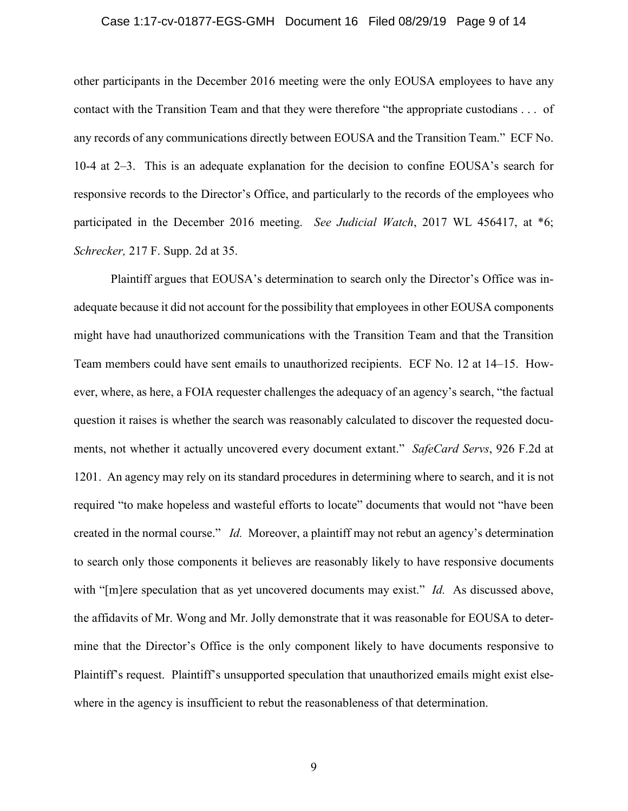## Case 1:17-cv-01877-EGS-GMH Document 16 Filed 08/29/19 Page 9 of 14

other participants in the December 2016 meeting were the only EOUSA employees to have any contact with the Transition Team and that they were therefore "the appropriate custodians . . . of any records of any communications directly between EOUSA and the Transition Team." ECF No. 10-4 at 2–3. This is an adequate explanation for the decision to confine EOUSA's search for responsive records to the Director's Office, and particularly to the records of the employees who participated in the December 2016 meeting. *See Judicial Watch*, 2017 WL 456417, at \*6; *Schrecker,* 217 F. Supp. 2d at 35.

Plaintiff argues that EOUSA's determination to search only the Director's Office was inadequate because it did not account for the possibility that employees in other EOUSA components might have had unauthorized communications with the Transition Team and that the Transition Team members could have sent emails to unauthorized recipients. ECF No. 12 at 14–15. However, where, as here, a FOIA requester challenges the adequacy of an agency's search, "the factual question it raises is whether the search was reasonably calculated to discover the requested documents, not whether it actually uncovered every document extant." *SafeCard Servs*, 926 F.2d at 1201. An agency may rely on its standard procedures in determining where to search, and it is not required "to make hopeless and wasteful efforts to locate" documents that would not "have been created in the normal course." *Id.* Moreover, a plaintiff may not rebut an agency's determination to search only those components it believes are reasonably likely to have responsive documents with "[m]ere speculation that as yet uncovered documents may exist." *Id.* As discussed above, the affidavits of Mr. Wong and Mr. Jolly demonstrate that it was reasonable for EOUSA to determine that the Director's Office is the only component likely to have documents responsive to Plaintiff's request. Plaintiff's unsupported speculation that unauthorized emails might exist elsewhere in the agency is insufficient to rebut the reasonableness of that determination.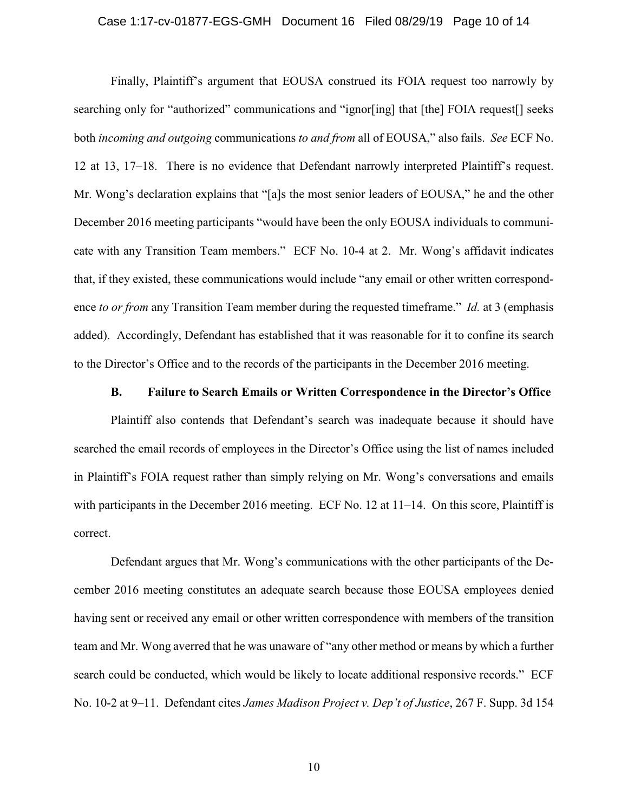#### Case 1:17-cv-01877-EGS-GMH Document 16 Filed 08/29/19 Page 10 of 14

Finally, Plaintiff's argument that EOUSA construed its FOIA request too narrowly by searching only for "authorized" communications and "ignor[ing] that [the] FOIA request[] seeks both *incoming and outgoing* communications *to and from* all of EOUSA," also fails. *See* ECF No. 12 at 13, 17–18. There is no evidence that Defendant narrowly interpreted Plaintiff's request. Mr. Wong's declaration explains that "[a]s the most senior leaders of EOUSA," he and the other December 2016 meeting participants "would have been the only EOUSA individuals to communicate with any Transition Team members." ECF No. 10-4 at 2. Mr. Wong's affidavit indicates that, if they existed, these communications would include "any email or other written correspondence *to or from* any Transition Team member during the requested timeframe." *Id.* at 3 (emphasis added). Accordingly, Defendant has established that it was reasonable for it to confine its search to the Director's Office and to the records of the participants in the December 2016 meeting.

## **B. Failure to Search Emails or Written Correspondence in the Director's Office**

Plaintiff also contends that Defendant's search was inadequate because it should have searched the email records of employees in the Director's Office using the list of names included in Plaintiff's FOIA request rather than simply relying on Mr. Wong's conversations and emails with participants in the December 2016 meeting. ECF No. 12 at 11–14. On this score, Plaintiff is correct.

Defendant argues that Mr. Wong's communications with the other participants of the December 2016 meeting constitutes an adequate search because those EOUSA employees denied having sent or received any email or other written correspondence with members of the transition team and Mr. Wong averred that he was unaware of "any other method or means by which a further search could be conducted, which would be likely to locate additional responsive records." ECF No. 10-2 at 9–11. Defendant cites *James Madison Project v. Dep't of Justice*, 267 F. Supp. 3d 154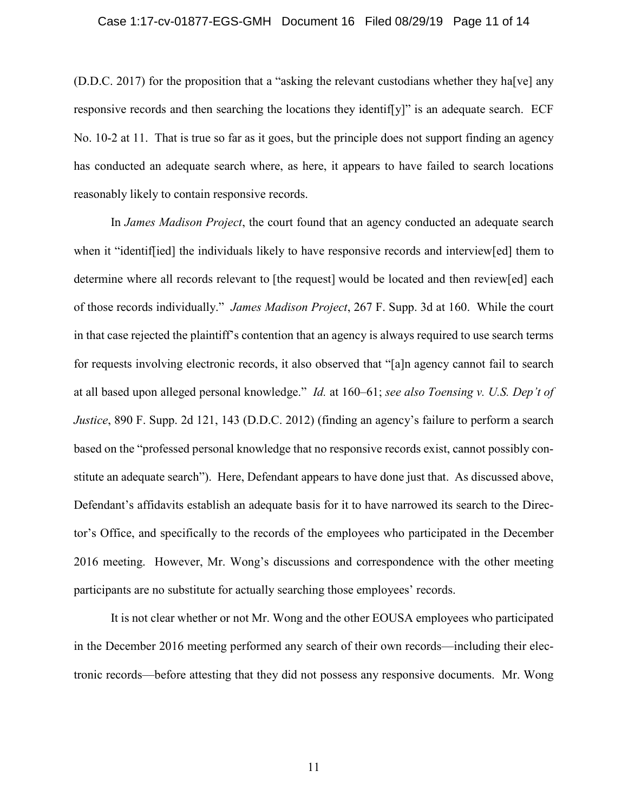#### Case 1:17-cv-01877-EGS-GMH Document 16 Filed 08/29/19 Page 11 of 14

(D.D.C. 2017) for the proposition that a "asking the relevant custodians whether they ha[ve] any responsive records and then searching the locations they identif[y]" is an adequate search. ECF No. 10-2 at 11. That is true so far as it goes, but the principle does not support finding an agency has conducted an adequate search where, as here, it appears to have failed to search locations reasonably likely to contain responsive records.

In *James Madison Project*, the court found that an agency conducted an adequate search when it "identiffied] the individuals likely to have responsive records and interview[ed] them to determine where all records relevant to [the request] would be located and then review[ed] each of those records individually." *James Madison Project*, 267 F. Supp. 3d at 160. While the court in that case rejected the plaintiff's contention that an agency is always required to use search terms for requests involving electronic records, it also observed that "[a]n agency cannot fail to search at all based upon alleged personal knowledge." *Id.* at 160–61; *see also Toensing v. U.S. Dep't of Justice*, 890 F. Supp. 2d 121, 143 (D.D.C. 2012) (finding an agency's failure to perform a search based on the "professed personal knowledge that no responsive records exist, cannot possibly constitute an adequate search"). Here, Defendant appears to have done just that. As discussed above, Defendant's affidavits establish an adequate basis for it to have narrowed its search to the Director's Office, and specifically to the records of the employees who participated in the December 2016 meeting. However, Mr. Wong's discussions and correspondence with the other meeting participants are no substitute for actually searching those employees' records.

It is not clear whether or not Mr. Wong and the other EOUSA employees who participated in the December 2016 meeting performed any search of their own records—including their electronic records—before attesting that they did not possess any responsive documents. Mr. Wong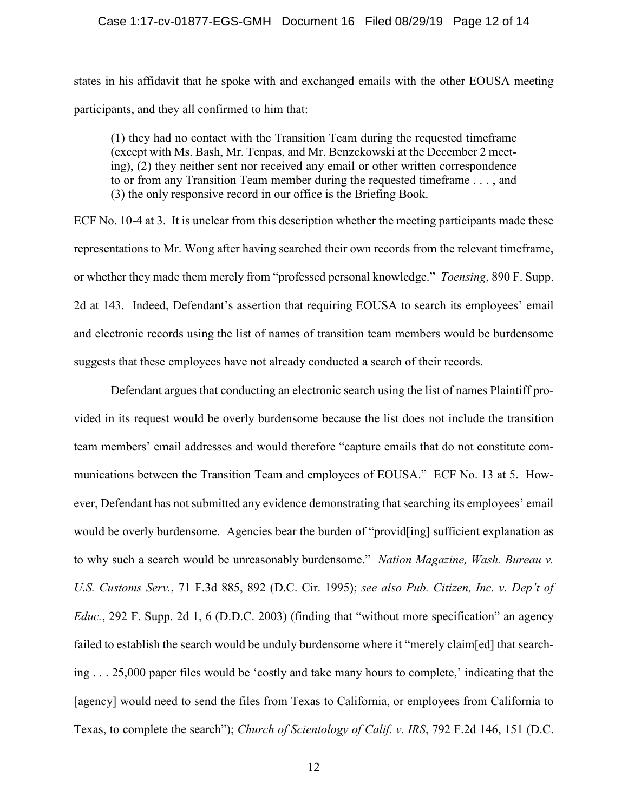## Case 1:17-cv-01877-EGS-GMH Document 16 Filed 08/29/19 Page 12 of 14

states in his affidavit that he spoke with and exchanged emails with the other EOUSA meeting participants, and they all confirmed to him that:

(1) they had no contact with the Transition Team during the requested timeframe (except with Ms. Bash, Mr. Tenpas, and Mr. Benzckowski at the December 2 meeting), (2) they neither sent nor received any email or other written correspondence to or from any Transition Team member during the requested timeframe . . . , and (3) the only responsive record in our office is the Briefing Book.

ECF No. 10-4 at 3. It is unclear from this description whether the meeting participants made these representations to Mr. Wong after having searched their own records from the relevant timeframe, or whether they made them merely from "professed personal knowledge." *Toensing*, 890 F. Supp. 2d at 143. Indeed, Defendant's assertion that requiring EOUSA to search its employees' email and electronic records using the list of names of transition team members would be burdensome suggests that these employees have not already conducted a search of their records.

Defendant argues that conducting an electronic search using the list of names Plaintiff provided in its request would be overly burdensome because the list does not include the transition team members' email addresses and would therefore "capture emails that do not constitute communications between the Transition Team and employees of EOUSA." ECF No. 13 at 5. However, Defendant has not submitted any evidence demonstrating that searching its employees' email would be overly burdensome. Agencies bear the burden of "provid[ing] sufficient explanation as to why such a search would be unreasonably burdensome." *Nation Magazine, Wash. Bureau v. U.S. Customs Serv.*, 71 F.3d 885, 892 (D.C. Cir. 1995); *see also Pub. Citizen, Inc. v. Dep't of Educ.*, 292 F. Supp. 2d 1, 6 (D.D.C. 2003) (finding that "without more specification" an agency failed to establish the search would be unduly burdensome where it "merely claim[ed] that searching . . . 25,000 paper files would be 'costly and take many hours to complete,' indicating that the [agency] would need to send the files from Texas to California, or employees from California to Texas, to complete the search"); *Church of Scientology of Calif. v. IRS*, 792 F.2d 146, 151 (D.C.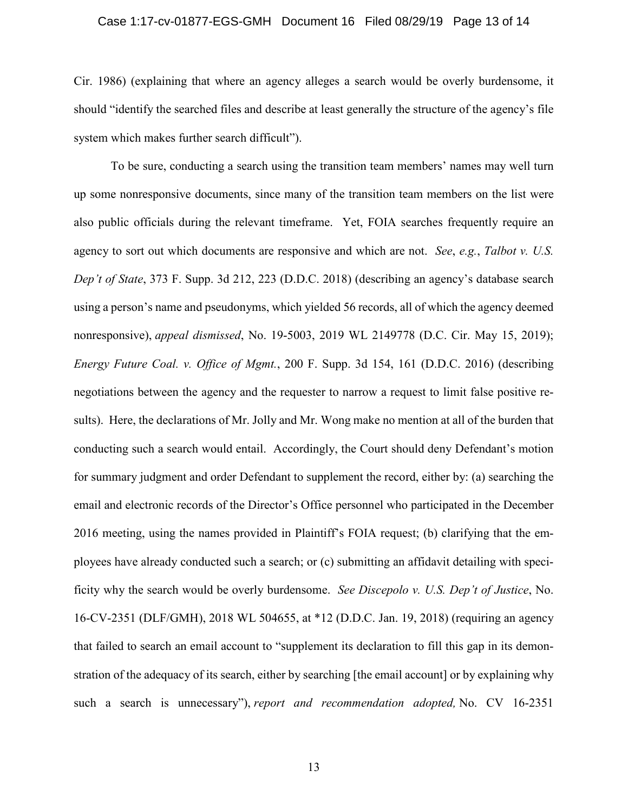#### Case 1:17-cv-01877-EGS-GMH Document 16 Filed 08/29/19 Page 13 of 14

Cir. 1986) (explaining that where an agency alleges a search would be overly burdensome, it should "identify the searched files and describe at least generally the structure of the agency's file system which makes further search difficult").

To be sure, conducting a search using the transition team members' names may well turn up some nonresponsive documents, since many of the transition team members on the list were also public officials during the relevant timeframe. Yet, FOIA searches frequently require an agency to sort out which documents are responsive and which are not. *See*, *e.g.*, *Talbot v. U.S. Dep't of State*, 373 F. Supp. 3d 212, 223 (D.D.C. 2018) (describing an agency's database search using a person's name and pseudonyms, which yielded 56 records, all of which the agency deemed nonresponsive), *appeal dismissed*, No. 19-5003, 2019 WL 2149778 (D.C. Cir. May 15, 2019); *Energy Future Coal. v. Office of Mgmt.*, 200 F. Supp. 3d 154, 161 (D.D.C. 2016) (describing negotiations between the agency and the requester to narrow a request to limit false positive results). Here, the declarations of Mr. Jolly and Mr. Wong make no mention at all of the burden that conducting such a search would entail. Accordingly, the Court should deny Defendant's motion for summary judgment and order Defendant to supplement the record, either by: (a) searching the email and electronic records of the Director's Office personnel who participated in the December 2016 meeting, using the names provided in Plaintiff's FOIA request; (b) clarifying that the employees have already conducted such a search; or (c) submitting an affidavit detailing with specificity why the search would be overly burdensome. *See Discepolo v. U.S. Dep't of Justice*, No. 16-CV-2351 (DLF/GMH), 2018 WL 504655, at \*12 (D.D.C. Jan. 19, 2018) (requiring an agency that failed to search an email account to "supplement its declaration to fill this gap in its demonstration of the adequacy of its search, either by searching [the email account] or by explaining why such a search is unnecessary"), *report and recommendation adopted,* No. CV 16-2351